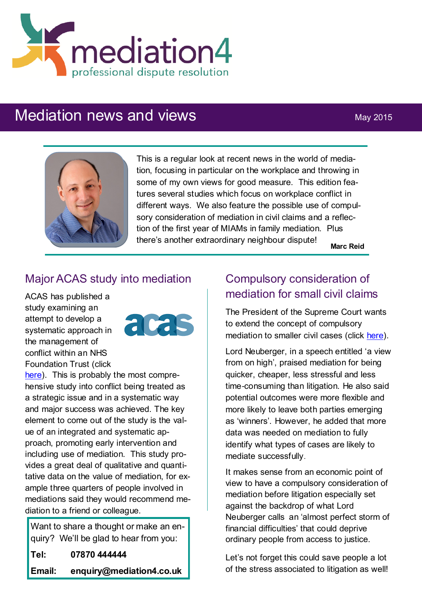

# Mediation news and views May 2015



This is a regular look at recent news in the world of mediation, focusing in particular on the workplace and throwing in some of my own views for good measure. This edition features several studies which focus on workplace conflict in different ways. We also feature the possible use of compulsory consideration of mediation in civil claims and a reflection of the first year of MIAMs in family mediation. Plus there's another extraordinary neighbour dispute! **Marc Reid**

#### Major ACAS study into mediation

ACAS has published a study examining an attempt to develop a systematic approach in the management of conflict within an NHS Foundation Trust (click



[here\)](http://www.acas.org.uk/media/pdf/5/7/Conflict-management-Northumbria-Healthcare-NHS-Trust.pdf). This is probably the most comprehensive study into conflict being treated as a strategic issue and in a systematic way and major success was achieved. The key element to come out of the study is the value of an integrated and systematic approach, promoting early intervention and including use of mediation. This study provides a great deal of qualitative and quantitative data on the value of mediation, for example three quarters of people involved in mediations said they would recommend mediation to a friend or colleague.

Want to share a thought or make an enquiry? We'll be glad to hear from you: **Tel: 07870 444444 Email: enquiry@mediation4.co.uk**

## Compulsory consideration of mediation for small civil claims

The President of the Supreme Court wants to extend the concept of compulsory mediation to smaller civil cases (click [here\)](http://www.lawgazette.co.uk/law/neuberger-backs-compulsory-mediation-for-more-civil-cases/5048784.fullarticle).

Lord Neuberger, in a speech entitled 'a view from on high', praised mediation for being quicker, cheaper, less stressful and less time-consuming than litigation. He also said potential outcomes were more flexible and more likely to leave both parties emerging as 'winners'. However, he added that more data was needed on mediation to fully identify what types of cases are likely to mediate successfully.

It makes sense from an economic point of view to have a compulsory consideration of mediation before litigation especially set against the backdrop of what Lord Neuberger calls an 'almost perfect storm of financial difficulties' that could deprive ordinary people from access to justice.

Let's not forget this could save people a lot of the stress associated to litigation as well!